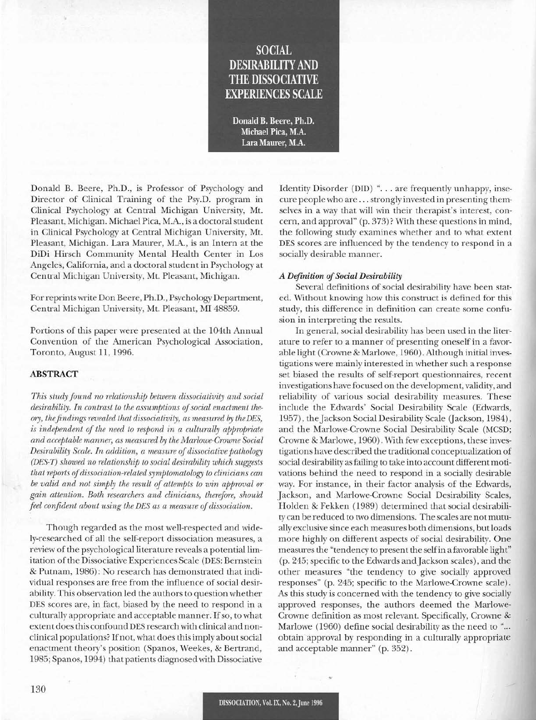# **SOCIAL** DESIRABILITY AND THE DISSOCIATIVE EXPERIENCES SCALE

Donald B. Beere, Ph.D. Michael Pica, M.A. Lara Maurer, M.A.

Donald B. Beere, Ph.D., is Professor of Psychology and Director of Clinical Training of the Psy.D. program in Clinical Psychology at Central Michigan University, Mt. Pleasant, Michigan. Michael Pica, M.A., is a doctoral student in Clinical Psychology at Central Michigan University, Mt. Pleasant, Michigan. Lara Maurer, M.A., is an Intern at the DiDi Hirsch Community Mental Health Center in Los Angeles, California, and a doctoral student in Psychology at Central Michigan University, Mt. Pleasant, Michigan.

For reprints write Don Beere, Ph.D., Psychology Department, Central Michigan University, Mt. Pleasant, MI 48859.

Portions of this paper were presented at the 104th Annual Convention of the American Psychological Association, Toronto, August 11,1996.

# ABSTRACT

*This study found no relationship between dissociativity and social*  $\alpha$  *desirability. In contrast to the assumptions of social enactment theory, thefindings revealed that dissociativity, as measured by theDES, is independent of the need to respond in a culturally appropriate and acceptable manner, as measured by the Marlowe-Crowne Social Desirability Scale. In addition, a measure of dissociative pathology (DES-T) showed no relationship to social desirability which suggests that reports ofdissociation-related symptomatology to clinicians can be valid and not simply the result of attempts to win approval or gain attention. Both researchers and clinicians, therefore, should feel confident about using the DES as a measure of dissociation.* 

Though regarded as the most well-respected and widely-researched of all the self-report dissociation measures, a review of the psychological literature reveals a potential limitation of the Dissociative Experiences Scale (DES: Bernstein & Putnam, 1986): No research has demonstrated that individual responses are free from the influence of social desirability. This observation led the authors to question whether DES scores are, in fact, biased by the need to respond in a culturally appropriate and acceptable manner. If so, to what extent does this confound DES research with clinical and nonclinical populations? Ifnot, what does this imply aboutsocial enactment theory's position (Spanos, Weekes, & Bertrand, 1985; Spanos, 1994) that patients diagnosed with Dissociative Identity Disorder (DID) "... are frequently unhappy, insecure people who are ... strongly invested in presenting themselves in a way that will win their therapist's interest, concern, and approval" (p. 373)? With these questions in mind, the following study examines whether and to what extent DES scores are influenced by the tendency to respond in a socially desirable manner.

#### *A Difinition ofSocial Desirability*

Several definitions of social desirability have been stated. Without knowing how this construct is defined for this study, this difference in definition can create some confusion in interpreting the results.

In general, social desirability has been used in the literature to refer to a manner of presenting oneself in a favorable light (Crowne & Marlowe, 1960). Although initial investigations were mainly interested in whether such a response set biased the results of self-report questionnaires, recent investigations have focused on the development, validity, and reliability of various social desirability measures. These include the Edwards' Social Desirability Scale (Edwards, 1957), the Jackson Social Desirability Scale (Jackson, 1984), and the Marlowe-Crowne Social Desirability Scale (MCSD; Crowne & Marlowe, 1960). With few exceptions, these investigations have described the traditional conceptualization of social desirability as failing to take into account different motivations behind the need to respond in a socially desirable way. For instance, in their factor analysis of the Edwards, Jackson, and Marlowe-Crowne Social Desirability Scales, Holden & Fekken (1989) determined that social desirability can be reduced to two dimensions. The scales are not mutually exclusive since each measures both dimensions, but loads more highly on different aspects of social desirability. One measures the "tendency to present the selfin a favorable light" (p. 245; specific to the Edwards and Jackson scales), and the other measures "the tendency to give socially approved responses" (p. 245; specific to the Marlowe-Crowne scale). As this study is concerned with the tendency to give socially approved responses, the authors deemed the Marlowe-Crowne definition as most relevant. Specifically, Crowne & Marlowe (1960) define social desirability as the need to "... obtain approval by responding in a culturally appropriate and acceptable manner" (p. 352).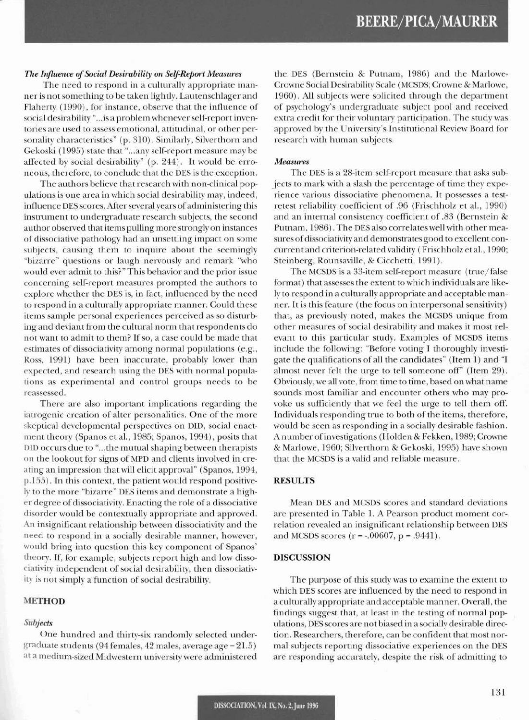#### The Influence of Social Desirability on Self-Report Measures

The need to respond in a culturally appropriate manner is not something to be taken lightly. Lautenschlager and Flaherty (1990), for instance, observe that the influence of social desirability "... is a problem whenever self-report inventories are used to assess emotional, attitudinal, or other personality characteristics" (p. 310). Similarly, Silverthorn and Gekoski (1995) state that "...any self-report measure may be affected by social desirability" (p. 244). It would be erroneous, therefore, to conclude that the DES is the exception.

The authors believe that research with non-clinical populations is one area in which social desirability may, indeed, influence DES scores. After several years of administering this instrument to undergraduate research subjects, the second author observed that items pulling more strongly on instances of dissociative pathology had an unsettling impact on some subjects, causing them to inquire about the seemingly "bizarre" questions or laugh nervously and remark "who would ever admit to this?" This behavior and the prior issue concerning self-report measures prompted the authors to explore whether the DES is, in fact, influenced by the need to respond in a culturally appropriate manner. Could these items sample personal experiences perceived as so disturbing and deviant from the cultural norm that respondents do not want to admit to them? If so, a case could be made that estimates of dissociativity among normal populations (e.g., Ross, 1991) have been inaccurate, probably lower than expected, and research using the DES with normal populations as experimental and control groups needs to be reassessed.

There are also important implications regarding the iatrogenic creation of alter personalities. One of the more skeptical developmental perspectives on DID, social enactment theory (Spanos et al., 1985; Spanos, 1994), posits that DID occurs due to "...the mutual shaping between therapists on the lookout for signs of MPD and clients involved in creating an impression that will elicit approval" (Spanos, 1994, p.155). In this context, the patient would respond positively to the more "bizarre" DES items and demonstrate a higher degree of dissociativity. Enacting the role of a dissociative disorder would be contextually appropriate and approved. An insignificant relationship between dissociativity and the need to respond in a socially desirable manner, however, would bring into question this key component of Spanos' theory. If, for example, subjects report high and low dissociativity independent of social desirability, then dissociativity is not simply a function of social desirability.

# **METHOD**

#### Subjects

One hundred and thirty-six randomly selected undergraduate students (94 females, 42 males, average  $age = 21.5$ ) at a medium-sized Midwestern university were administered the DES (Bernstein & Putnam, 1986) and the Marlowe-Crowne Social Desirability Scale (MCSDS; Crowne & Marlowe, 1960). All subjects were solicited through the department of psychology's undergraduate subject pool and received extra credit for their voluntary participation. The study was approved by the University's Institutional Review Board for research with human subjects.

# **Measures**

The DES is a 28-item self-report measure that asks subjects to mark with a slash the percentage of time they experience various dissociative phenomena. It possesses a testretest reliability coefficient of .96 (Frischholz et al., 1990) and an internal consistency coefficient of .83 (Bernstein & Putnam, 1986). The DES also correlates well with other measures of dissociativity and demonstrates good to excellent concurrent and criterion-related validity (Frischholz et al., 1990; Steinberg, Rounsaville, & Cicchetti, 1991).

The MCSDS is a 33-item self-report measure (true/false format) that assesses the extent to which individuals are likely to respond in a culturally appropriate and acceptable manner. It is this feature (the focus on interpersonal sensitivity) that, as previously noted, makes the MCSDS unique from other measures of social desirability and makes it most relevant to this particular study. Examples of MCSDS items include the following: "Before voting I thoroughly investigate the qualifications of all the candidates" (Item 1) and "I almost never felt the urge to tell someone off" (Item 29). Obviously, we all vote, from time to time, based on what name sounds most familiar and encounter others who may provoke us sufficiently that we feel the urge to tell them off. Individuals responding true to both of the items, therefore, would be seen as responding in a socially desirable fashion. A number of investigations (Holden & Fekken, 1989; Crowne & Marlowe, 1960; Silverthorn & Gekoski, 1995) have shown that the MCSDS is a valid and reliable measure.

#### **RESULTS**

Mean DES and MCSDS scores and standard deviations are presented in Table 1. A Pearson product moment correlation revealed an insignificant relationship between DES and MCSDS scores  $(r = -.00607, p = .9441)$ .

# **DISCUSSION**

The purpose of this study was to examine the extent to which DES scores are influenced by the need to respond in a culturally appropriate and acceptable manner. Overall, the findings suggest that, at least in the testing of normal populations, DES scores are not biased in a socially desirable direction. Researchers, therefore, can be confident that most normal subjects reporting dissociative experiences on the DES are responding accurately, despite the risk of admitting to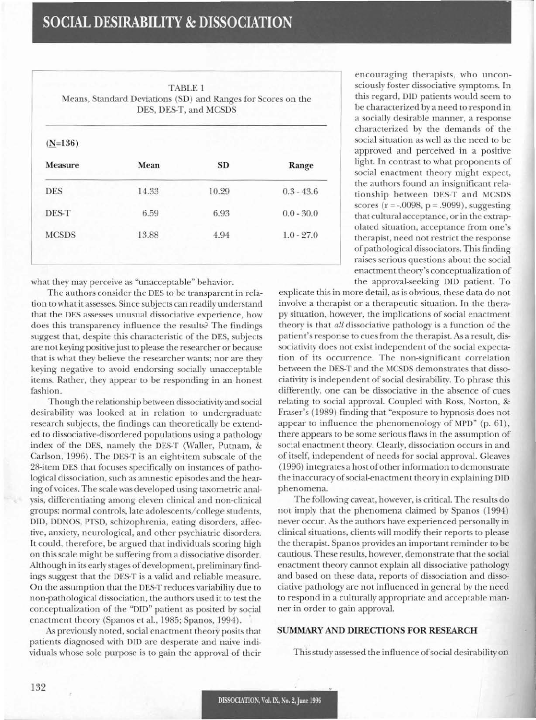# **SOCIAL DESIRABILITY & DISSOCIATION**

| <b>TABLE 1</b><br>Means, Standard Deviations (SD) and Ranges for Scores on the<br>DES, DES-T, and MCSDS |           |              |
|---------------------------------------------------------------------------------------------------------|-----------|--------------|
|                                                                                                         |           |              |
| Mean                                                                                                    | <b>SD</b> | Range        |
| 14.33                                                                                                   | 10.29     | $0.3 - 43.6$ |
| 6.59                                                                                                    | 6.93      | $0.0 - 30.0$ |
| 13.88                                                                                                   | 4.94      | $1.0 - 27.0$ |
|                                                                                                         |           |              |

what they may perceive as "unacceptable" behavior.

The authors consider the DES to be transparent in relation to what it assesses. Since subjects can readily understand that the DES assesses unusual dissociative experience, how does this transparency influence the results? The findings suggest that, despite this characteristic of the DES, subjects are not keying positive just to please the researcher or because that is what they believe the researcher wants; nor are they keying negative to avoid endorsing socially unacceptable items. Rather, they appear to be responding in an honest fashion.

Though the relationship between dissociativity and social desirability was looked at in relation to undergraduate research subjects, the findings can theoretically be extended to dissociative-disordered populations using a pathology index of the DES, namely the DES-T (Waller, Putnam, & Carlson, 1996). The DES-T is an eight-item subscale of the 28-item DES that focuses specifically on instances of pathological dissociation, such as amnestic episodes and the hearing ofvoices. The scale was developed using taxometric analysis, differentiating among eleven clinical and non-clinical groups: normal controls, late adolescents/college students, OlD, DDNOS, PTSD, schizophrenia, eating disorders, affective, anxiety, neurological, and other psychiatric disorders. It could, therefore, be argued that individuals scoring high on this scale might be suffering from a dissociative disorder. Although in its early stages of development, preliminary findings suggest that the DES-T is a valid and reliable measure. On the assumption that the DES-T reduces variability due to non-pathological dissociation, the authors used it to test the conceptualization of the "DID" patient as posited by social enactment theory (Spanos et aI., 1985; Spanos, 1994)..

As previously noted, social enactment theory posits that patients diagnosed with DID are desperate and naive individuals whose sole purpose is to gain the approval of their

encouraging therapists, who unconsciously foster dissociative symptoms. In this regard, OlD patients would seem to be characterized by a need to respond in a socially desirable manner, a response characterized by the demands of the social situation as well as the need to be approved and perceived in a positive light. In contrast to what proponents of social enactment theory might expect, the authors found an insignificant relationship between DES-T and MCSDS scores ( $r = -0.0098$ ,  $p = .9099$ ), suggesting that cultural acceptance, or in the extrapolated situation, acceptance from one's therapist, need not restrict the response ofpathological dissociators. This finding raises serious questions about the social enactment theory's conceptualization of the approval-seeking DID patient. To

explicate this in more detail, as is obvious, these data do not involve a therapist or a therapeutic situation. In the therapy situation, however, the implications of social enactment theory is that *all* dissociative pathology is a function of the patient's response to cues from the therapist. As a result, dissociativity does not exist independent of the social expectation of its occurrence. The non-significant correlation between the DES-T and the MCSDS demonstrates that dissociativity is independent of social desirability. To phrase this differently, one can be dissociative in the absence of cues relating to social approval. Coupled with Ross, Norton, & Fraser's (1989) finding that "exposure to hypnosis does not appear to influence the phenomenology of MPD" (p. 61), there appears to be some serious flaws in the assumption of social enactment theory. Clearly, dissociation occurs in and of itself, independent of needs for social approval. Gleaves (1996) integrates a hostofother information to demonstrate the inaccuracy of social-enactment theory in explaining DID phenomena.

The following caveat, however, is critical. The results do not imply that the phenomena claimed by Spanos (1994) never occur. As the authors have experienced personally in clinical situations, clients will modify their reports to please the therapist. Spanos provides an important reminder to be cautious. These results, however, demonstrate that the social enactment theory cannot explain all dissociative pathology and based on these data, reports of dissociation and dissociative pathology are not influenced in general by the need to respond in a culturally appropriate and acceptable manner in order to gain approval.

# **SUMMARY AND DIRECTIONS FOR RESEARCH**

This study assessed the influence of social desirability on